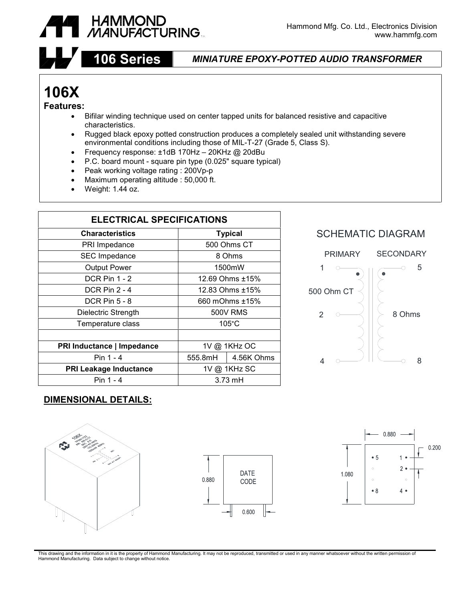



# **106 Series** *MINIATURE EPOXY-POTTED AUDIO TRANSFORMER*

# **106X**

#### **Features:**

- Bifilar winding technique used on center tapped units for balanced resistive and capacitive characteristics.
- Rugged black epoxy potted construction produces a completely sealed unit withstanding severe environmental conditions including those of MIL-T-27 (Grade 5, Class S).
- Frequency response: ±1dB 170Hz 20KHz @ 20dBu
- P.C. board mount square pin type (0.025" square typical)
- Peak working voltage rating : 200Vp-p
- Maximum operating altitude : 50,000 ft.
- Weight: 1.44 oz.

| <b>ELECTRICAL SPECIFICATIONS</b> |         |                               |  |
|----------------------------------|---------|-------------------------------|--|
| <b>Typical</b>                   |         | <b>Characteristics</b>        |  |
| 500 Ohms CT                      |         | PRI Impedance                 |  |
| 8 Ohms                           |         | <b>SEC Impedance</b>          |  |
| 1500mW                           |         | <b>Output Power</b>           |  |
| 12.69 Ohms ±15%                  |         | <b>DCR Pin 1 - 2</b>          |  |
| 12.83 Ohms ±15%                  |         | DCR Pin 2 - 4                 |  |
| 660 mOhms ±15%                   |         | <b>DCR Pin 5 - 8</b>          |  |
| 500V RMS                         |         | Dielectric Strength           |  |
| $105^{\circ}$ C                  |         | Temperature class             |  |
|                                  |         |                               |  |
| 1V @ 1KHz OC                     |         | PRI Inductance   Impedance    |  |
| 4.56K Ohms                       | 555.8mH | Pin $1 - 4$                   |  |
| 1V @ 1KHz SC                     |         | <b>PRI Leakage Inductance</b> |  |
| $3.73 \text{ m}$ H               |         | Pin 1 - 4                     |  |
|                                  |         |                               |  |

## SCHEMATIC DIAGRAM



### **DIMENSIONAL DETAILS:**







This drawing and the information in it is the property of Hammond Manufacturing. It may not be reproduced, transmitted or used in any manner whatsoever without the written permission of<br>Hammond Manufacturing. Data subject